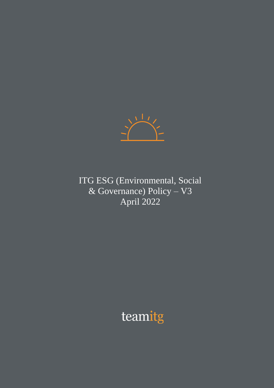

ITG ESG (Environmental, Social & Governance) Policy – V3 April 2022

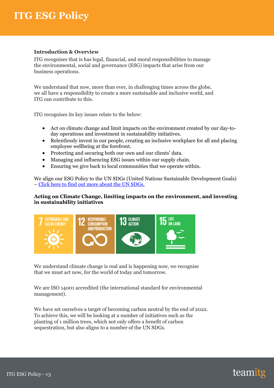#### **Introduction & Overview**

ITG recognises that is has legal, financial, and moral responsibilities to manage the environmental, social and governance (ESG) impacts that arise from our business operations.

We understand that now, more than ever, in challenging times across the globe, we all have a responsibility to create a more sustainable and inclusive world, and ITG can contribute to this.

ITG recognises its key issues relate to the below:

- Act on climate change and limit impacts on the environment created by our day-today operations and investment in sustainability initiatives.
- Relentlessly invest in our people, creating an inclusive workplace for all and placing employee wellbeing at the forefront.
- Protecting and securing both our own and our clients' data.
- Managing and influencing ESG issues within our supply chain.
- Ensuring we give back to local communities that we operate within.

We align our ESG Policy to the UN SDGs (United Nations Sustainable Development Goals) – [Click here to find out more about the UN SDGs.](https://sdgs.un.org/goals)

#### **Acting on Climate Change, limiting impacts on the environment, and investing in sustainability initiatives**



We understand climate change is real and is happening now, we recognise that we must act now, for the world of today and tomorrow.

We are ISO 14001 accredited (the international standard for environmental management).

We have set ourselves a target of becoming carbon neutral by the end of 2022. To achieve this, we will be looking at a number of initiatives such as the planting of 1 million trees, which not only offers a benefit of carbon sequestration, but also aligns to a number of the UN SDGs.

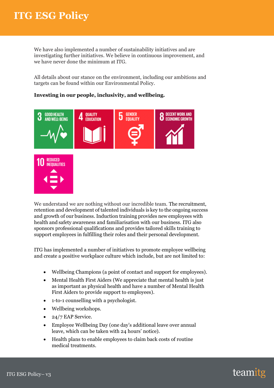We have also implemented a number of sustainability initiatives and are investigating further initiatives. We believe in continuous improvement, and we have never done the minimum at ITG.

All details about our stance on the environment, including our ambitions and targets can be found within our Environmental Policy.

### **Investing in our people, inclusivity, and wellbeing.**



We understand we are nothing without our incredible team. The recruitment, retention and development of talented individuals is key to the ongoing success and growth of our business. Induction training provides new employees with health and safety awareness and familiarisation with our business. ITG also sponsors professional qualifications and provides tailored skills training to support employees in fulfilling their roles and their personal development.

ITG has implemented a number of initiatives to promote employee wellbeing and create a positive workplace culture which include, but are not limited to:

- Wellbeing Champions (a point of contact and support for employees).
- Mental Health First Aiders (We appreciate that mental health is just as important as physical health and have a number of Mental Health First Aiders to provide support to employees).
- 1-to-1 counselling with a psychologist.
- Wellbeing workshops.
- 24/7 EAP Service.
- Employee Wellbeing Day (one day's additional leave over annual leave, which can be taken with 24 hours' notice).
- Health plans to enable employees to claim back costs of routine medical treatments.

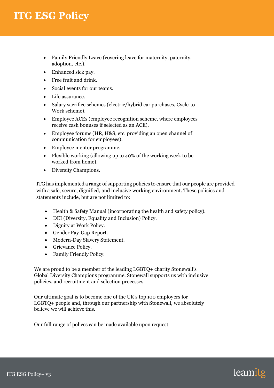- Family Friendly Leave (covering leave for maternity, paternity, adoption, etc.).
- Enhanced sick pay.
- Free fruit and drink.
- Social events for our teams.
- Life assurance.
- Salary sacrifice schemes (electric/hybrid car purchases, Cycle-to-Work scheme).
- Employee ACEs (employee recognition scheme, where employees receive cash bonuses if selected as an ACE).
- Employee forums (HR, H&S, etc. providing an open channel of communication for employees).
- Employee mentor programme.
- Flexible working (allowing up to 40% of the working week to be worked from home).
- Diversity Champions.

ITG has implemented a range of supporting policies to ensure that our people are provided with a safe, secure, dignified, and inclusive working environment. These policies and statements include, but are not limited to:

- Health & Safety Manual (incorporating the health and safety policy).
- DEI (Diversity, Equality and Inclusion) Policy.
- Dignity at Work Policy.
- Gender Pay-Gap Report.
- Modern-Day Slavery Statement.
	- Grievance Policy.
	- Family Friendly Policy.

We are proud to be a member of the leading LGBTQ+ charity Stonewall's Global Diversity Champions programme. Stonewall supports us with inclusive policies, and recruitment and selection processes.

Our ultimate goal is to become one of the UK's top 100 employers for LGBTQ+ people and, through our partnership with Stonewall, we absolutely believe we will achieve this.

Our full range of polices can be made available upon request.

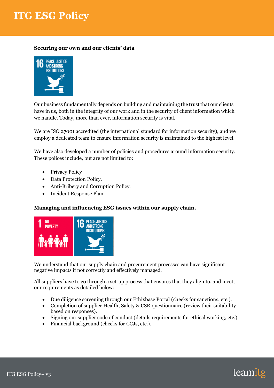## **Securing our own and our clients' data**



Our business fundamentally depends on building and maintaining the trust that our clients have in us, both in the integrity of our work and in the security of client information which we handle. Today, more than ever, information security is vital.

We are ISO 27001 accredited (the international standard for information security), and we employ a dedicated team to ensure information security is maintained to the highest level.

We have also developed a number of policies and procedures around information security. These polices include, but are not limited to:

- Privacy Policy
- Data Protection Policy.
- Anti-Bribery and Corruption Policy.
- Incident Response Plan.

## **Managing and influencing ESG issues within our supply chain.**



We understand that our supply chain and procurement processes can have significant negative impacts if not correctly and effectively managed.

All suppliers have to go through a set-up process that ensures that they align to, and meet, our requirements as detailed below:

- Due diligence screening through our Ethixbase Portal (checks for sanctions, etc.).
- Completion of supplier Health, Safety & CSR questionnaire (review their suitability based on responses).
- Signing our supplier code of conduct (details requirements for ethical working, etc.).
- Financial background (checks for CCJs, etc.).

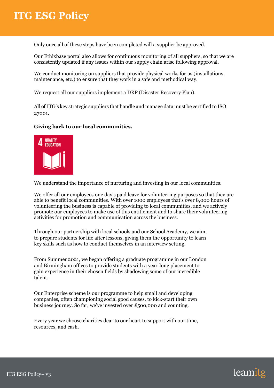Only once all of these steps have been completed will a supplier be approved.

Our Ethixbase portal also allows for continuous monitoring of all suppliers, so that we are consistently updated if any issues within our supply chain arise following approval.

We conduct monitoring on suppliers that provide physical works for us (installations, maintenance, etc.) to ensure that they work in a safe and methodical way.

We request all our suppliers implement a DRP (Disaster Recovery Plan).

All of ITG's key strategic suppliers that handle and manage data must be certified to ISO 27001.

#### **Giving back to our local communities.**



We understand the importance of nurturing and investing in our local communities.

We offer all our employees one day's paid leave for volunteering purposes so that they are able to benefit local communities. With over 1000 employees that's over 8,000 hours of volunteering the business is capable of providing to local communities, and we actively promote our employees to make use of this entitlement and to share their volunteering activities for promotion and communication across the business.

to prepare students for the after ressons, giving them the opportunity<br>key skills such as how to conduct themselves in an interview setting. Through our partnership with local schools and our School Academy, we aim to prepare students for life after lessons, giving them the opportunity to learn

From Summer 2021, we began offering a graduate programme in our London and Birmingham offices to provide students with a year-long placement to gain experience in their chosen fields by shadowing some of our incredible talent.

Our Enterprise scheme is our programme to help small and developing companies, often championing social good causes, to kick-start their own business journey. So far, we've invested over £500,000 and counting.

Every year we choose charities dear to our heart to support with our time, resources, and cash.

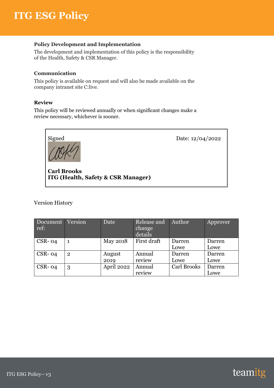#### **Policy Development and Implementation**

The development and implementation of this policy is the responsibility of the Health, Safety & CSR Manager.

#### **Communication**

This policy is available on request and will also be made available on the company intranet site C:live.

#### **Review**

This policy will be reviewed annually or when significant changes make a review necessary, whichever is sooner.



**Carl Brooks ITG (Health, Safety & CSR Manager)**

Version History

| Document<br>ref: | Version        | Date       | Release and<br>change<br>details | Author             | Approver |
|------------------|----------------|------------|----------------------------------|--------------------|----------|
| $CSR-04$         |                | May 2018   | First draft                      | Darren             | Darren   |
|                  |                |            |                                  | Lowe               | Lowe     |
| $CSR-04$         | $\overline{2}$ | August     | Annual                           | Darren             | Darren   |
|                  |                | 2019       | review                           | Lowe               | Lowe     |
| $CSR-04$         | 3              | April 2022 | Annual                           | <b>Carl Brooks</b> | Darren   |
|                  |                |            | review                           |                    | Lowe     |